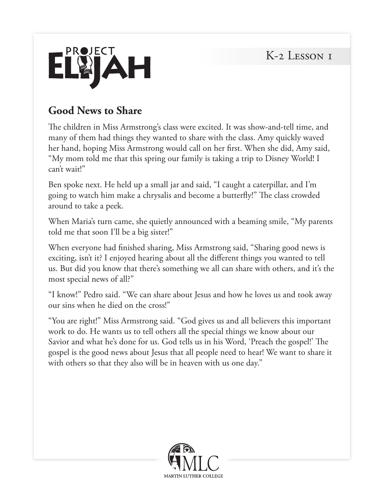K-2 LESSON I



#### **Good News to Share**

The children in Miss Armstrong's class were excited. It was show-and-tell time, and many of them had things they wanted to share with the class. Amy quickly waved her hand, hoping Miss Armstrong would call on her first. When she did, Amy said, "My mom told me that this spring our family is taking a trip to Disney World! I can't wait!"

Ben spoke next. He held up a small jar and said, "I caught a caterpillar, and I'm going to watch him make a chrysalis and become a butterfly!" The class crowded around to take a peek.

When Maria's turn came, she quietly announced with a beaming smile, "My parents told me that soon I'll be a big sister!"

When everyone had finished sharing, Miss Armstrong said, "Sharing good news is exciting, isn't it? I enjoyed hearing about all the different things you wanted to tell us. But did you know that there's something we all can share with others, and it's the most special news of all?"

"I know!" Pedro said. "We can share about Jesus and how he loves us and took away our sins when he died on the cross!"

"You are right!" Miss Armstrong said. "God gives us and all believers this important work to do. He wants us to tell others all the special things we know about our Savior and what he's done for us. God tells us in his Word, 'Preach the gospel!' The gospel is the good news about Jesus that all people need to hear! We want to share it with others so that they also will be in heaven with us one day."